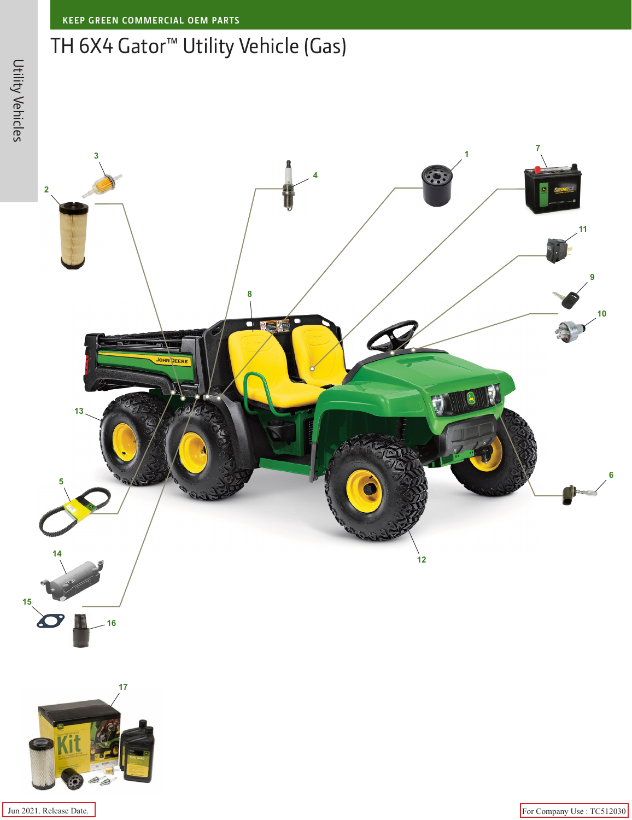## TH 6X4 Gator™ Utility Vehicle (Gas)